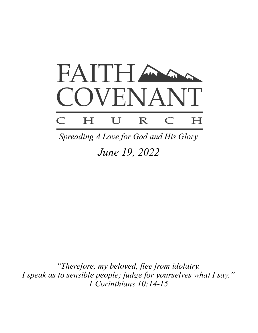

*June 19, 2022 Spreading A Love for God and His Glory*

*"Therefore, my beloved, flee from idolatry. I speak as to sensible people; judge for yourselves what I say." 1 Corinthians 10:14-15*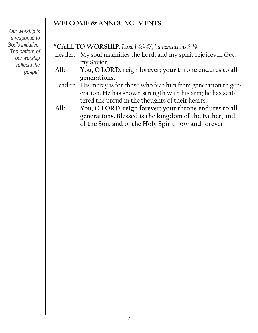# **WELCOME & ANNOUNCEMENTS**

*Our worship is a response to God's initiative. The pattern of our worship reflects the go*s*pel.*

- \***CALL TO WORSHIP:** *Luke 1:46-47, Lamentations 5:19*
- Leader: My soul magnifies the Lord, and my spirit rejoices in God my Savior.
- **All: You, O LORD, reign forever; your throne endures to all generations.**
- Leader: His mercy is for those who fear him from generation to generation. He has shown strength with his arm; he has scattered the proud in the thoughts of their hearts.
- **All: You, O LORD, reign forever; your throne endures to all generations. Blessed is the kingdom of the Father, and of the Son, and of the Holy Spirit now and forever.**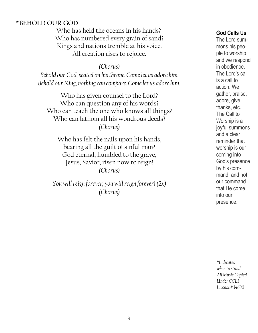#### **\*BEHOLD OUR GOD**

Who has held the oceans in his hands? Who has numbered every grain of sand? Kings and nations tremble at his voice. All creation rises to rejoice.

*(Chorus)*

*Behold our God, seated on his throne. Come let us adore him. Behold our King, nothing can compare. Come let us adore him!*

Who has given counsel to the Lord? Who can question any of his words? Who can teach the one who knows all things? Who can fathom all his wondrous deeds? *(Chorus)*

Who has felt the nails upon his hands, bearing all the guilt of sinful man? God eternal, humbled to the grave, Jesus, Savior, risen now to reign! *(Chorus)*

*You will reign forever, you will reign forever! (2x) (Chorus)*

#### **God Calls Us**

The Lord summons his people to worship and we respond in obedience. The Lord's call is a call to action. We gather, praise, adore, give thanks, etc. The Call to Worship is a joyful summons and a clear reminder that worship is our coming into God's presence by his command, and not our command that He come into our presence.

*\*Indicates when to stand. All Music Copied Under CCLI License #34680*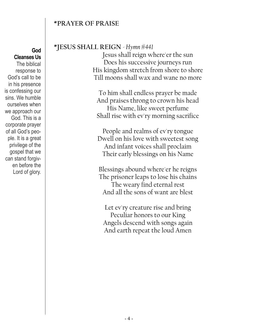#### **\*PRAYER OF PRAISE**

**God Cleanses Us** The biblical response to God's call to be in his presence is confessing our sins. We humble ourselves when we approach our God. This is a corporate prayer of all God's people. It is a great privilege of the gospel that we can stand forgiven before the Lord of glory.

#### **\*JESUS SHALL REIGN** *- Hymn #441*

Jesus shall reign where'er the sun Does his successive journeys run His kingdom stretch from shore to shore Till moons shall wax and wane no more

To him shall endless prayer be made And praises throng to crown his head His Name, like sweet perfume Shall rise with ev'ry morning sacrifice

People and realms of ev'ry tongue Dwell on his love with sweetest song And infant voices shall proclaim Their early blessings on his Name

Blessings abound where'er he reigns The prisoner leaps to lose his chains The weary find eternal rest And all the sons of want are blest

Let ev'ry creature rise and bring Peculiar honors to our King Angels descend with songs again And earth repeat the loud Amen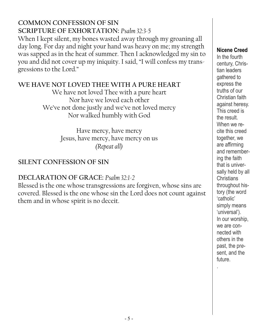### **COMMON CONFESSION OF SIN SCRIPTURE OF EXHORTATION:** *Psalm 32:3-5* When I kept silent, my bones wasted away through my groaning all day long. For day and night your hand was heavy on me; my strength was sapped as in the heat of summer. Then I acknowledged my sin to you and did not cover up my iniquity. I said, "I will confess my transgressions to the Lord."

### **WE HAVE NOT LOVED THEE WITH A PURE HEART**

We have not loved Thee with a pure heart Nor have we loved each other We've not done justly and we've not loved mercy Nor walked humbly with God

> Have mercy, have mercy Jesus, have mercy, have mercy on us *(Repeat all)*

# **SILENT CONFESSION OF SIN**

# **DECLARATION OF GRACE:** *Psalm 32:1-2*

Blessed is the one whose transgressions are forgiven, whose sins are covered. Blessed is the one whose sin the Lord does not count against them and in whose spirit is no deceit.

#### **Nicene Creed**

In the fourth century, Christian leaders gathered to express the truths of our Christian faith against heresy. This creed is the result. When we recite this creed together, we are affirming and remembering the faith that is universally held by all **Christians** throughout history (the word 'catholic' simply means 'universal'). In our worship, we are connected with others in the past, the pr*e*sent, and the future. .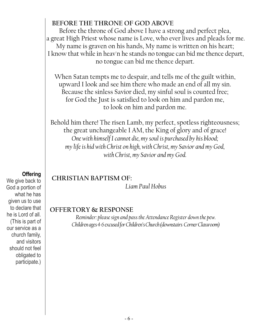## **BEFORE THE THRONE OF GOD ABOVE**

Before the throne of God above I have a strong and perfect plea, a great High Priest whose name is Love, who ever lives and pleads for me. My name is graven on his hands, My name is written on his heart; I know that while in heav'n he stands no tongue can bid me thence depart, no tongue can bid me thence depart.

When Satan tempts me to despair, and tells me of the guilt within, upward I look and see him there who made an end of all my sin. Because the sinless Savior died, my sinful soul is counted free; for God the Just is satisfied to look on him and pardon me, to look on him and pardon me.

Behold him there! The risen Lamb, my perfect, spotless righteousness; the great unchangeable I AM, the King of glory and of grace! *One with himself I cannot die, my soul is purchased by his blood; my life is hid with Christ on high, with Christ, my Savior and my God, with Christ, my Savior and my God.*

# **CHRISTIAN BAPTISM OF:**

*Liam Paul Hobus*

### **OFFERTORY & RESPONSE**

*Reminder: please sign and pass the Attendance Register down the pew. Children ages 4-6 excused for Children's Church (downstairs Corner Classroom)*

#### **Offering**

We give back to God a portion of what he has given us to use to declare that he is Lord of all. (This is part of our service as a church family, and visitors should not feel obligated to participate.)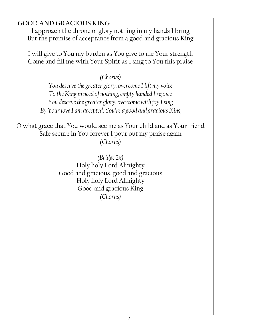#### **GOOD AND GRACIOUS KING**

I approach the throne of glory nothing in my hands I bring But the promise of acceptance from a good and gracious King

I will give to You my burden as You give to me Your strength Come and fill me with Your Spirit as I sing to You this praise

*(Chorus)*

*You deserve the greater glory, overcome I lift my voice To the King in need of nothing, empty handed I rejoice You deserve the greater glory, overcome with joy I sing By Your love I am accepted, You're a good and gracious King*

O what grace that You would see me as Your child and as Your friend Safe secure in You forever I pour out my praise again *(Chorus)*

> *(Bridge 2x)* Holy holy Lord Almighty Good and gracious, good and gracious Holy holy Lord Almighty Good and gracious King *(Chorus)*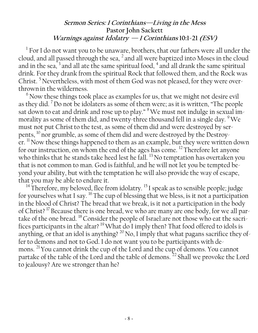### **Sermon Series: 1 Corinthians—Living in the Mess Pastor John Sackett Warnings against Idolatry****— 1 Corinthians 10:1-21 (ESV)**

 $^{\rm l}$  For I do not want you to be unaware, brothers, that our fathers were all under the cloud, and all passed through the sea,  $^2$  and all were baptized into Moses in the cloud and in the sea,  $3$  and all ate the same spiritual food,  $4$  and all drank the same spiritual drink. For they drank from the spiritual Rock that followed them, and the Rock was Christ.<sup>5</sup> Nevertheless, with most of them God was not pleased, for they were overthrown in the wilderness.

 $6$  Now these things took place as examples for us, that we might not desire evil as they did. <sup>7</sup>Do not be idolaters as some of them were; as it is written, "The people sat down to eat and drink and rose up to play." <sup>8</sup>We must not indulge in sexual immorality as some of them did, and twenty-three thousand fell in a single day. <sup>9</sup>We must not put Christ to the test, as some of them did and were destroyed by serpents,  $^{10}$  nor grumble, as some of them did and were destroyed by the Destroyer. <sup>11</sup> Now these things happened to them as an example, but they were written down for our instruction, on whom the end of the ages has come.<sup>12</sup> Therefore let anyone who thinks that he stands take heed lest he fall.<sup>13</sup> No temptation has overtaken you that is not common to man. God is faithful, and he will not let you be tempted beyond your ability, but with the temptation he will also provide the way of escape, that you may be able to endure it.

<sup>14</sup> Therefore, my beloved, flee from idolatry. <sup>15</sup> I speak as to sensible people; judge for yourselves what I say.  $^{16}$  The cup of blessing that we bless, is it not a participation in the blood of Christ? The bread that we break, is it not a participation in the body of Christ?<sup>17</sup> Because there is one bread, we who are many are one body, for we all partake of the one bread. <sup>18</sup> Consider the people of Israel:are not those who eat the sacrifices participants in the altar?  $^{19}$  What do I imply then? That food offered to idols is anything, or that an idol is anything?  $^{20}$  No, I imply that what pagans sacrifice they offer to demons and not to God. I do not want you to be participants with demons. <sup>21</sup> You cannot drink the cup of the Lord and the cup of demons. You cannot partake of the table of the Lord and the table of demons.<sup>22</sup> Shall we provoke the Lord to jealousy? Are we stronger than he?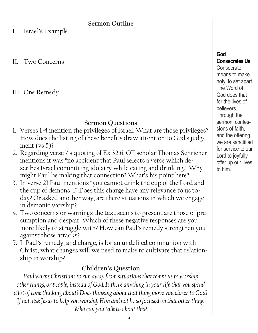### **Sermon Outline**

I. Israel's Example

II. Two Concerns

III. One Remedy

# **Sermon Questions**

- 1. Verses 1-4 mention the privileges of Israel. What are those privileges? How does the listing of these benefits draw attention to God's judgment (vs 5)?
- 2. Regarding verse 7's quoting of Ex 32:6, OT scholar Thomas Schriener mentions it was "no accident that Paul selects a verse which describes Israel committing idolatry while eating and drinking." Why might Paul be making that connection? What's his point here?
- 3. In verse 21 Paul mentions "you cannot drink the cup of the Lord and the cup of demons …" Does this charge have any relevance to us today? Or asked another way, are there situations in which we engage in demonic worship?
- 4. Two concerns or warnings the text seems to present are those of presumption and despair. Which of these negative responses are you more likely to struggle with? How can Paul's remedy strengthen you against those attacks?
- 5. If Paul's remedy, and charge, is for an undefiled communion with Christ, what changes will we need to make to cultivate that relationship in worship?

# **Children's Question**

*Paul warns Christians to run away from situations that tempt us to worship other things, or people, instead of God. Is there anything in your life that you spend a lot of time thinking about? Does thinking about that thing move you closer to God? If not, ask Jesus to help you worship Him and not be so focused on that other thing. Who can you talk to about this?*

#### **God**

**Consecrates Us Consecrate** means to make holy, to set apart. The Word of God does that for the lives of believers. Through the sermon, confessions of faith, and the offering we are sanctified for service to our Lord to joyfully offer up our lives to him.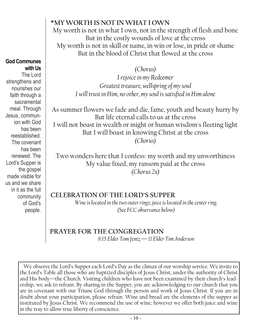## **\*MY WORTH IS NOT IN WHAT I OWN**

My worth is not in what I own, not in the strength of flesh and bone But in the costly wounds of love at the cross My worth is not in skill or name, in win or lose, in pride or shame But in the blood of Christ that flowed at the cross

*(Chorus)*

*I rejoice in my Redeemer Greatest treasure, wellspring of my soul I will trust in Him, no other, my soul is satisfied in Him alone*

As summer flowers we fade and die, fame, youth and beauty hurry by But life eternal calls to us at the cross I will not boast in wealth or might or human wisdom's fleeting light But I will boast in knowing Christ at the cross *(Chorus)*

Two wonders here that I confess: my worth and my unworthiness My value fixed, my ransom paid at the cross *(Chorus 2x)*

### **CELEBRATION OF THE LORD'S SUPPER**

*Wine is located in the two outer rings; juice is located in the center ring. (See FCC observance below)*

#### **PRAYER FOR THE CONGREGATION** *8:15 Elder Tom Jentz —11 Elder Tim Anderson*

We observe the Lord's Supper each Lord's Day as the climax of our worship service. We invite to the Lord's Table all those who are baptized disciples of Jesus Christ, under the authority of Christ and His body—the Church. Visiting children who have not been examined by their church's leadership, we ask to refrain. By sharing in the Supper, you are acknowledging to our church that you are in covenant with our Triune God through the person and work of Jesus Christ. If you are in doubt about your participation, please refrain. Wine and bread are the elements of the supper as instituted by Jesus Christ. We recommend the use of wine; however we offer both juice and wine in the tray to allow true liberty of conscience.

#### **God Communes with Us**

The Lord strengthens and nourishes our faith through a sacramental meal. Through Jesus, communion with God has been reestablished. The covenant has been renewed. The Lord's Supper is the gospel made visible for us and we share in it as the full community of God's people.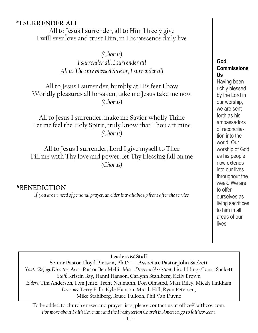### **\*I SURRENDER ALL**

All to Jesus I surrender, all to Him I freely give I will ever love and trust Him, in His presence daily live

> *(Chorus) I surrender all, I surrender all All to Thee my blessed Savior, I surrender all*

All to Jesus I surrender, humbly at His feet I bow Worldly pleasures all forsaken, take me Jesus take me now *(Chorus)*

All to Jesus I surrender, make me Savior wholly Thine Let me feel the Holy Spirit, truly know that Thou art mine *(Chorus)*

All to Jesus I surrender, Lord I give myself to Thee Fill me with Thy love and power, let Thy blessing fall on me *(Chorus)*

#### **\*BENEDICTION**

*If you are in need of personal prayer, an elder is available up front after the service.*

#### **God Commissions Us**

Having been richly blessed by the Lord in our worship, we are sent forth as his ambassadors of reconciliation into the world. Our worship of God as his people now extends into our lives throughout the week. We are to offer ourselves as living sacrifices to him in all areas of our lives.

#### **Leaders & Staff**

**Senior Pastor Lloyd Pierson, Ph.D. — Associate Pastor John Sackett** *Youth/Refuge Director:* Asst. Pastor Ben Melli *Music Director/Assistant:* Lisa Iddings/Laura Sackett *Staff:* Kristin Bay, Hanni Hanson, Carlynn Stahlberg, Kelly Brown *Elders:* Tim Anderson*,* Tom Jentz, Trent Neumann, Don Olmsted, Matt Riley, Micah Tinkham *Deacons:* Terry Falk, Kyle Hanson, Micah Hill, Ryan Petersen, Mike Stahlberg, Bruce Tulloch, Phil Van Duyne

To be added to church enews and prayer lists, please contact us at office@faithcov.com. *For more about Faith Covenant and the Presbyterian Church in America, go to faithcov.com.*